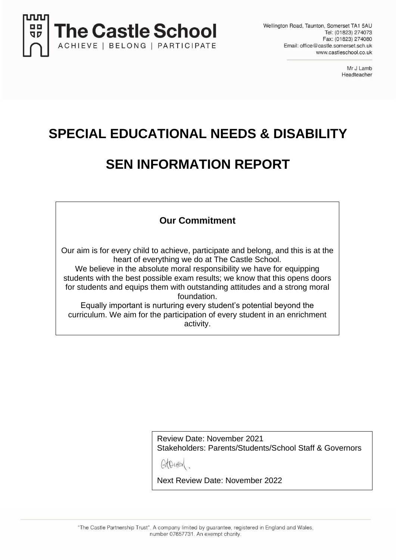

Mr J Lamb Headteacher

## **SPECIAL EDUCATIONAL NEEDS & DISABILITY**

## **SEN INFORMATION REPORT**

## **Our Commitment**

Our aim is for every child to achieve, participate and belong, and this is at the heart of everything we do at The Castle School.

We believe in the absolute moral responsibility we have for equipping students with the best possible exam results; we know that this opens doors for students and equips them with outstanding attitudes and a strong moral foundation.

Equally important is nurturing every student's potential beyond the curriculum. We aim for the participation of every student in an enrichment activity.

> Review Date: November 2021 Stakeholders: Parents/Students/School Staff & Governors

AtDUEY

Next Review Date: November 2022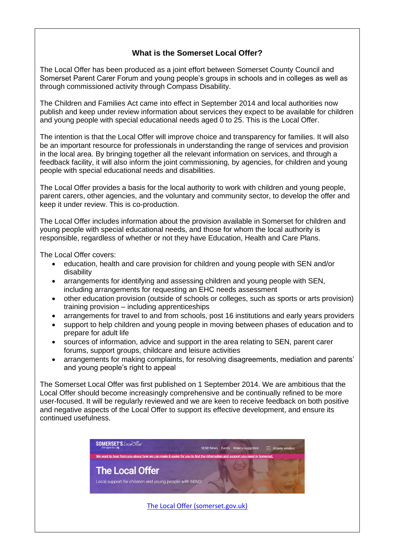## **What is the Somerset Local Offer?**

The Local Offer has been produced as a joint effort between Somerset County Council and Somerset Parent Carer Forum and young people's groups in schools and in colleges as well as through commissioned activity through Compass Disability.

The Children and Families Act came into effect in September 2014 and local authorities now publish and keep under review information about services they expect to be available for children and young people with special educational needs aged 0 to 25. This is the Local Offer.

The intention is that the Local Offer will improve choice and transparency for families. It will also be an important resource for professionals in understanding the range of services and provision in the local area. By bringing together all the relevant information on services, and through a feedback facility, it will also inform the joint commissioning, by agencies, for children and young people with special educational needs and disabilities.

The Local Offer provides a basis for the local authority to work with children and young people, parent carers, other agencies, and the voluntary and community sector, to develop the offer and keep it under review. This is co-production.

The Local Offer includes information about the provision available in Somerset for children and young people with special educational needs, and those for whom the local authority is responsible, regardless of whether or not they have Education, Health and Care Plans.

The Local Offer covers:

- education, health and care provision for children and young people with SEN and/or disability
- arrangements for identifying and assessing children and young people with SEN, including arrangements for requesting an EHC needs assessment
- other education provision (outside of schools or colleges, such as sports or arts provision) training provision – including apprenticeships
- arrangements for travel to and from schools, post 16 institutions and early years providers
- support to help children and young people in moving between phases of education and to prepare for adult life
- sources of information, advice and support in the area relating to SEN, parent carer forums, support groups, childcare and leisure activities
- arrangements for making complaints, for resolving disagreements, mediation and parents' and young people's right to appeal

The Somerset Local Offer was first published on 1 September 2014. We are ambitious that the Local Offer should become increasingly comprehensive and be continually refined to be more user-focused. It will be regularly reviewed and we are keen to receive feedback on both positive and negative aspects of the Local Offer to support its effective development, and ensure its continued usefulness.

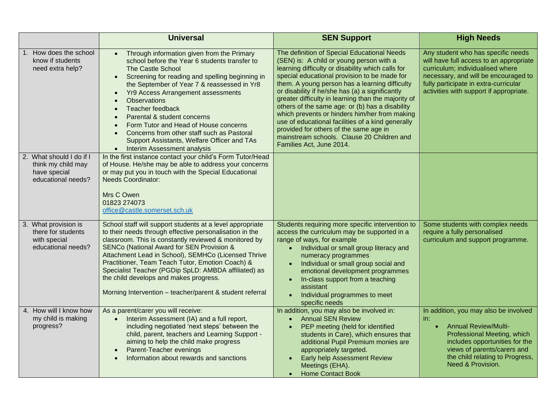|                                                                                      | <b>Universal</b>                                                                                                                                                                                                                                                                                                                                                                                                                                                                                                                     | <b>SEN Support</b>                                                                                                                                                                                                                                                                                                                                                                                                                                                                                                                                                                                                                    | <b>High Needs</b>                                                                                                                                                                                                                                |
|--------------------------------------------------------------------------------------|--------------------------------------------------------------------------------------------------------------------------------------------------------------------------------------------------------------------------------------------------------------------------------------------------------------------------------------------------------------------------------------------------------------------------------------------------------------------------------------------------------------------------------------|---------------------------------------------------------------------------------------------------------------------------------------------------------------------------------------------------------------------------------------------------------------------------------------------------------------------------------------------------------------------------------------------------------------------------------------------------------------------------------------------------------------------------------------------------------------------------------------------------------------------------------------|--------------------------------------------------------------------------------------------------------------------------------------------------------------------------------------------------------------------------------------------------|
| 1. How does the school<br>know if students<br>need extra help?                       | Through information given from the Primary<br>school before the Year 6 students transfer to<br><b>The Castle School</b><br>Screening for reading and spelling beginning in<br>$\bullet$<br>the September of Year 7 & reassessed in Yr8<br><b>Yr9 Access Arrangement assessments</b><br><b>Observations</b><br>Teacher feedback<br>Parental & student concerns<br>Form Tutor and Head of House concerns<br>Concerns from other staff such as Pastoral<br>Support Assistants, Welfare Officer and TAs<br>• Interim Assessment analysis | The definition of Special Educational Needs<br>(SEN) is: A child or young person with a<br>learning difficulty or disability which calls for<br>special educational provision to be made for<br>them. A young person has a learning difficulty<br>or disability if he/she has (a) a significantly<br>greater difficulty in learning than the majority of<br>others of the same age: or (b) has a disability<br>which prevents or hinders him/her from making<br>use of educational facilities of a kind generally<br>provided for others of the same age in<br>mainstream schools. Clause 20 Children and<br>Families Act, June 2014. | Any student who has specific needs<br>will have full access to an appropriate<br>curriculum; individualised where<br>necessary, and will be encouraged to<br>fully participate in extra-curricular<br>activities with support if appropriate.    |
| 2. What should I do if I<br>think my child may<br>have special<br>educational needs? | In the first instance contact your child's Form Tutor/Head<br>of House. He/she may be able to address your concerns<br>or may put you in touch with the Special Educational<br><b>Needs Coordinator:</b><br>Mrs C Owen<br>01823 274073<br>office@castle.somerset.sch.uk                                                                                                                                                                                                                                                              |                                                                                                                                                                                                                                                                                                                                                                                                                                                                                                                                                                                                                                       |                                                                                                                                                                                                                                                  |
| 3. What provision is<br>there for students<br>with special<br>educational needs?     | School staff will support students at a level appropriate<br>to their needs through effective personalisation in the<br>classroom. This is constantly reviewed & monitored by<br>SENCo (National Award for SEN Provision &<br>Attachment Lead in School), SEMHCo (Licensed Thrive<br>Practitioner, Team Teach Tutor, Emotion Coach) &<br>Specialist Teacher (PGDip SpLD: AMBDA affiliated) as<br>the child develops and makes progress.<br>Morning Intervention - teacher/parent & student referral                                  | Students requiring more specific intervention to<br>access the curriculum may be supported in a<br>range of ways, for example<br>Individual or small group literacy and<br>numeracy programmes<br>Individual or small group social and<br>$\bullet$<br>emotional development programmes<br>In-class support from a teaching<br>assistant<br>Individual programmes to meet<br>specific needs                                                                                                                                                                                                                                           | Some students with complex needs<br>require a fully personalised<br>curriculum and support programme.                                                                                                                                            |
| 4. How will I know how<br>my child is making<br>progress?                            | As a parent/carer you will receive:<br>Interim Assessment (IA) and a full report,<br>$\bullet$<br>including negotiated 'next steps' between the<br>child, parent, teachers and Learning Support -<br>aiming to help the child make progress<br>Parent-Teacher evenings<br>Information about rewards and sanctions                                                                                                                                                                                                                    | In addition, you may also be involved in:<br><b>Annual SEN Review</b><br>$\bullet$<br>PEP meeting (held for identified<br>students in Care), which ensures that<br>additional Pupil Premium monies are<br>appropriately targeted.<br>Early help Assessment Review<br>Meetings (EHA).<br><b>Home Contact Book</b>                                                                                                                                                                                                                                                                                                                      | In addition, you may also be involved<br>in:<br><b>Annual Review/Multi-</b><br>$\bullet$<br>Professional Meeting, which<br>includes opportunities for the<br>views of parents/carers and<br>the child relating to Progress,<br>Need & Provision. |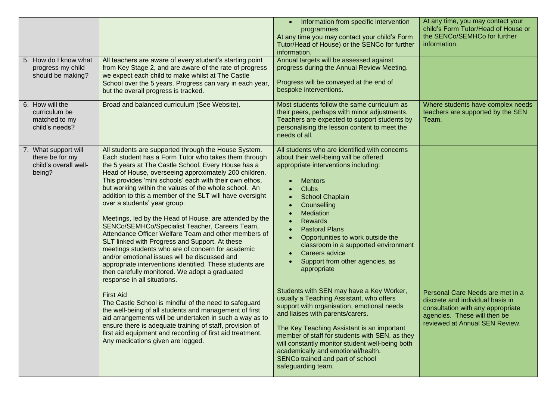| 5. How do I know what<br>progress my child                                 | All teachers are aware of every student's starting point<br>from Key Stage 2, and are aware of the rate of progress                                                                                                                                                                                                                                                                                                                                                                                                                                                                                                                                                                                                                                                                                                                                                                                                                                                                                 | Information from specific intervention<br>programmes<br>At any time you may contact your child's Form<br>Tutor/Head of House) or the SENCo for further<br>information.<br>Annual targets will be assessed against<br>progress during the Annual Review Meeting.                                                                                                                                                                                                                                             | At any time, you may contact your<br>child's Form Tutor/Head of House or<br>the SENCo/SEMHCo for further<br>information. |
|----------------------------------------------------------------------------|-----------------------------------------------------------------------------------------------------------------------------------------------------------------------------------------------------------------------------------------------------------------------------------------------------------------------------------------------------------------------------------------------------------------------------------------------------------------------------------------------------------------------------------------------------------------------------------------------------------------------------------------------------------------------------------------------------------------------------------------------------------------------------------------------------------------------------------------------------------------------------------------------------------------------------------------------------------------------------------------------------|-------------------------------------------------------------------------------------------------------------------------------------------------------------------------------------------------------------------------------------------------------------------------------------------------------------------------------------------------------------------------------------------------------------------------------------------------------------------------------------------------------------|--------------------------------------------------------------------------------------------------------------------------|
| should be making?                                                          | we expect each child to make whilst at The Castle<br>School over the 5 years. Progress can vary in each year,<br>but the overall progress is tracked.                                                                                                                                                                                                                                                                                                                                                                                                                                                                                                                                                                                                                                                                                                                                                                                                                                               | Progress will be conveyed at the end of<br>bespoke interventions.                                                                                                                                                                                                                                                                                                                                                                                                                                           |                                                                                                                          |
| 6. How will the<br>curriculum be<br>matched to my<br>child's needs?        | Broad and balanced curriculum (See Website).                                                                                                                                                                                                                                                                                                                                                                                                                                                                                                                                                                                                                                                                                                                                                                                                                                                                                                                                                        | Most students follow the same curriculum as<br>their peers, perhaps with minor adjustments.<br>Teachers are expected to support students by<br>personalising the lesson content to meet the<br>needs of all.                                                                                                                                                                                                                                                                                                | Where students have complex needs<br>teachers are supported by the SEN<br>Team.                                          |
| 7. What support will<br>there be for my<br>child's overall well-<br>being? | All students are supported through the House System.<br>Each student has a Form Tutor who takes them through<br>the 5 years at The Castle School. Every House has a<br>Head of House, overseeing approximately 200 children.<br>This provides 'mini schools' each with their own ethos,<br>but working within the values of the whole school. An<br>addition to this a member of the SLT will have oversight<br>over a students' year group.<br>Meetings, led by the Head of House, are attended by the<br>SENCo/SEMHCo/Specialist Teacher, Careers Team,<br>Attendance Officer Welfare Team and other members of<br>SLT linked with Progress and Support. At these<br>meetings students who are of concern for academic<br>and/or emotional issues will be discussed and<br>appropriate interventions identified. These students are<br>then carefully monitored. We adopt a graduated<br>response in all situations.<br><b>First Aid</b><br>The Castle School is mindful of the need to safeguard | All students who are identified with concerns<br>about their well-being will be offered<br>appropriate interventions including:<br><b>Mentors</b><br><b>Clubs</b><br><b>School Chaplain</b><br>Counselling<br>Mediation<br><b>Rewards</b><br><b>Pastoral Plans</b><br>Opportunities to work outside the<br>classroom in a supported environment<br>Careers advice<br>Support from other agencies, as<br>appropriate<br>Students with SEN may have a Key Worker,<br>usually a Teaching Assistant, who offers | Personal Care Needs are met in a<br>discrete and individual basis in                                                     |
|                                                                            | the well-being of all students and management of first<br>aid arrangements will be undertaken in such a way as to<br>ensure there is adequate training of staff, provision of<br>first aid equipment and recording of first aid treatment.<br>Any medications given are logged.                                                                                                                                                                                                                                                                                                                                                                                                                                                                                                                                                                                                                                                                                                                     | support with organisation, emotional needs<br>and liaises with parents/carers.<br>The Key Teaching Assistant is an important<br>member of staff for students with SEN, as they<br>will constantly monitor student well-being both<br>academically and emotional/health.<br>SENCo trained and part of school<br>safeguarding team.                                                                                                                                                                           | consultation with any appropriate<br>agencies. These will then be<br>reviewed at Annual SEN Review.                      |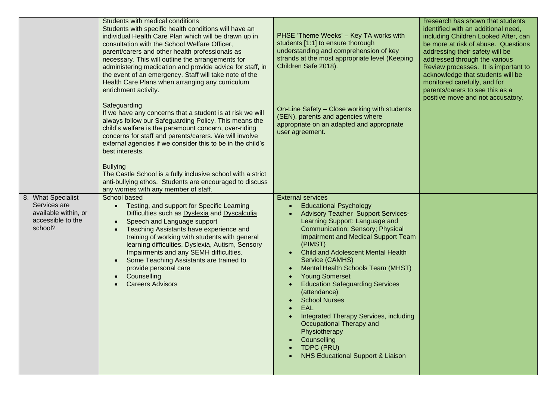|                                                                                            | Students with medical conditions<br>Students with specific health conditions will have an<br>individual Health Care Plan which will be drawn up in<br>consultation with the School Welfare Officer,<br>parent/carers and other health professionals as<br>necessary. This will outline the arrangements for<br>administering medication and provide advice for staff, in<br>the event of an emergency. Staff will take note of the<br>Health Care Plans when arranging any curriculum<br>enrichment activity.                | PHSE 'Theme Weeks' - Key TA works with<br>students [1:1] to ensure thorough<br>understanding and comprehension of key<br>strands at the most appropriate level (Keeping<br>Children Safe 2018).                                                                                                                                                                                                                                                                                                                                                                                                                                               | Research has shown that students<br>identified with an additional need,<br>including Children Looked After, can<br>be more at risk of abuse. Questions<br>addressing their safety will be<br>addressed through the various<br>Review processes. It is important to<br>acknowledge that students will be<br>monitored carefully, and for<br>parents/carers to see this as a<br>positive move and not accusatory. |
|--------------------------------------------------------------------------------------------|------------------------------------------------------------------------------------------------------------------------------------------------------------------------------------------------------------------------------------------------------------------------------------------------------------------------------------------------------------------------------------------------------------------------------------------------------------------------------------------------------------------------------|-----------------------------------------------------------------------------------------------------------------------------------------------------------------------------------------------------------------------------------------------------------------------------------------------------------------------------------------------------------------------------------------------------------------------------------------------------------------------------------------------------------------------------------------------------------------------------------------------------------------------------------------------|-----------------------------------------------------------------------------------------------------------------------------------------------------------------------------------------------------------------------------------------------------------------------------------------------------------------------------------------------------------------------------------------------------------------|
|                                                                                            | Safeguarding<br>If we have any concerns that a student is at risk we will<br>always follow our Safeguarding Policy. This means the<br>child's welfare is the paramount concern, over-riding<br>concerns for staff and parents/carers. We will involve<br>external agencies if we consider this to be in the child's<br>best interests.<br><b>Bullying</b><br>The Castle School is a fully inclusive school with a strict<br>anti-bullying ethos. Students are encouraged to discuss<br>any worries with any member of staff. | On-Line Safety - Close working with students<br>(SEN), parents and agencies where<br>appropriate on an adapted and appropriate<br>user agreement.                                                                                                                                                                                                                                                                                                                                                                                                                                                                                             |                                                                                                                                                                                                                                                                                                                                                                                                                 |
| 8. What Specialist<br>Services are<br>available within, or<br>accessible to the<br>school? | School based<br>Testing, and support for Specific Learning<br>$\bullet$<br>Difficulties such as Dyslexia and Dyscalculia<br>Speech and Language support<br>$\bullet$<br>Teaching Assistants have experience and<br>$\bullet$<br>training of working with students with general<br>learning difficulties, Dyslexia, Autism, Sensory<br>Impairments and any SEMH difficulties.<br>Some Teaching Assistants are trained to<br>$\bullet$<br>provide personal care<br>Counselling<br>$\bullet$<br><b>Careers Advisors</b>         | <b>External services</b><br><b>Educational Psychology</b><br><b>Advisory Teacher Support Services-</b><br>Learning Support; Language and<br>Communication; Sensory; Physical<br>Impairment and Medical Support Team<br>(PIMST)<br><b>Child and Adolescent Mental Health</b><br>Service (CAMHS)<br>Mental Health Schools Team (MHST)<br><b>Young Somerset</b><br><b>Education Safeguarding Services</b><br>(attendance)<br><b>School Nurses</b><br><b>EAL</b><br>Integrated Therapy Services, including<br>Occupational Therapy and<br>Physiotherapy<br>Counselling<br>$\bullet$<br>TDPC (PRU)<br><b>NHS Educational Support &amp; Liaison</b> |                                                                                                                                                                                                                                                                                                                                                                                                                 |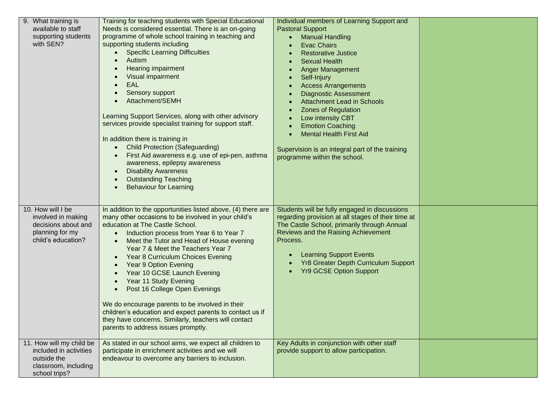| 9. What training is<br>available to staff<br>supporting students<br>with SEN?                              | Training for teaching students with Special Educational<br>Needs is considered essential. There is an on-going<br>programme of whole school training in teaching and<br>supporting students including<br><b>Specific Learning Difficulties</b><br>Autism<br>Hearing impairment<br>Visual impairment<br><b>EAL</b><br>Sensory support<br>Attachment/SEMH<br>Learning Support Services, along with other advisory<br>services provide specialist training for support staff.<br>In addition there is training in<br><b>Child Protection (Safeguarding)</b><br>First Aid awareness e.g. use of epi-pen, asthma<br>awareness, epilepsy awareness<br><b>Disability Awareness</b><br><b>Outstanding Teaching</b><br><b>Behaviour for Learning</b> | Individual members of Learning Support and<br><b>Pastoral Support</b><br><b>Manual Handling</b><br><b>Evac Chairs</b><br><b>Restorative Justice</b><br><b>Sexual Health</b><br><b>Anger Management</b><br>Self-Injury<br><b>Access Arrangements</b><br><b>Diagnostic Assessment</b><br><b>Attachment Lead in Schools</b><br><b>Zones of Regulation</b><br>Low intensity CBT<br><b>Emotion Coaching</b><br><b>Mental Health First Aid</b><br>Supervision is an integral part of the training<br>programme within the school. |  |
|------------------------------------------------------------------------------------------------------------|---------------------------------------------------------------------------------------------------------------------------------------------------------------------------------------------------------------------------------------------------------------------------------------------------------------------------------------------------------------------------------------------------------------------------------------------------------------------------------------------------------------------------------------------------------------------------------------------------------------------------------------------------------------------------------------------------------------------------------------------|-----------------------------------------------------------------------------------------------------------------------------------------------------------------------------------------------------------------------------------------------------------------------------------------------------------------------------------------------------------------------------------------------------------------------------------------------------------------------------------------------------------------------------|--|
| 10. How will I be<br>involved in making<br>decisions about and<br>planning for my<br>child's education?    | In addition to the opportunities listed above, (4) there are<br>many other occasions to be involved in your child's<br>education at The Castle School.<br>Induction process from Year 6 to Year 7<br>Meet the Tutor and Head of House evening<br>Year 7 & Meet the Teachers Year 7<br>Year 8 Curriculum Choices Evening<br><b>Year 9 Option Evening</b><br>Year 10 GCSE Launch Evening<br>Year 11 Study Evening<br>Post 16 College Open Evenings<br>We do encourage parents to be involved in their<br>children's education and expect parents to contact us if<br>they have concerns. Similarly, teachers will contact<br>parents to address issues promptly.                                                                              | Students will be fully engaged in discussions<br>regarding provision at all stages of their time at<br>The Castle School, primarily through Annual<br>Reviews and the Raising Achievement<br>Process.<br><b>Learning Support Events</b><br><b>Yr8 Greater Depth Curriculum Support</b><br><b>Yr9 GCSE Option Support</b>                                                                                                                                                                                                    |  |
| 11. How will my child be<br>included in activities<br>outside the<br>classroom, including<br>school trips? | As stated in our school aims, we expect all children to<br>participate in enrichment activities and we will<br>endeavour to overcome any barriers to inclusion.                                                                                                                                                                                                                                                                                                                                                                                                                                                                                                                                                                             | Key Adults in conjunction with other staff<br>provide support to allow participation.                                                                                                                                                                                                                                                                                                                                                                                                                                       |  |